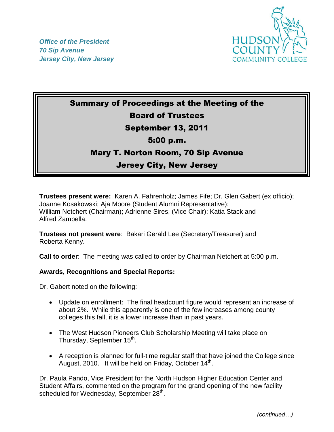



# Summary of Proceedings at the Meeting of the Board of Trustees

### September 13, 2011

#### 5:00 p.m.

#### Mary T. Norton Room, 70 Sip Avenue

## Jersey City, New Jersey

**Trustees present were:** Karen A. Fahrenholz; James Fife; Dr. Glen Gabert (ex officio); Joanne Kosakowski; Aja Moore (Student Alumni Representative); William Netchert (Chairman); Adrienne Sires, (Vice Chair); Katia Stack and Alfred Zampella.

**Trustees not present were**: Bakari Gerald Lee (Secretary/Treasurer) and Roberta Kenny.

**Call to order**: The meeting was called to order by Chairman Netchert at 5:00 p.m.

#### **Awards, Recognitions and Special Reports:**

Dr. Gabert noted on the following:

- Update on enrollment: The final headcount figure would represent an increase of about 2%. While this apparently is one of the few increases among county colleges this fall, it is a lower increase than in past years.
- The West Hudson Pioneers Club Scholarship Meeting will take place on Thursday, September 15<sup>th</sup>.
- A reception is planned for full-time regular staff that have joined the College since August, 2010. It will be held on Friday, October 14<sup>th</sup>.

Dr. Paula Pando, Vice President for the North Hudson Higher Education Center and Student Affairs, commented on the program for the grand opening of the new facility scheduled for Wednesday, September  $28<sup>th</sup>$ .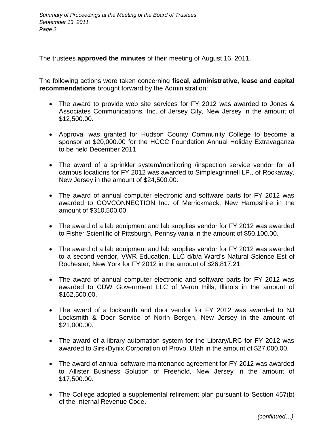The trustees **approved the minutes** of their meeting of August 16, 2011.

The following actions were taken concerning **fiscal, administrative, lease and capital recommendations** brought forward by the Administration:

- The award to provide web site services for FY 2012 was awarded to Jones & Associates Communications, Inc. of Jersey City, New Jersey in the amount of \$12,500.00.
- Approval was granted for Hudson County Community College to become a sponsor at \$20,000.00 for the HCCC Foundation Annual Holiday Extravaganza to be held December 2011.
- The award of a sprinkler system/monitoring /inspection service vendor for all campus locations for FY 2012 was awarded to Simplexgrinnell LP., of Rockaway, New Jersey in the amount of \$24,500.00.
- The award of annual computer electronic and software parts for FY 2012 was awarded to GOVCONNECTION Inc. of Merrickmack, New Hampshire in the amount of \$310,500.00.
- The award of a lab equipment and lab supplies vendor for FY 2012 was awarded to Fisher Scientific of Pittsburgh, Pennsylvania in the amount of \$50,100.00.
- The award of a lab equipment and lab supplies vendor for FY 2012 was awarded to a second vendor, VWR Education, LLC d/b/a Ward's Natural Science Est of Rochester, New York for FY 2012 in the amount of \$26,817.21.
- The award of annual computer electronic and software parts for FY 2012 was awarded to CDW Government LLC of Veron Hills, Illinois in the amount of \$162,500.00.
- The award of a locksmith and door vendor for FY 2012 was awarded to NJ Locksmith & Door Service of North Bergen, New Jersey in the amount of \$21,000.00.
- The award of a library automation system for the Library/LRC for FY 2012 was awarded to Sirsi/Dynix Corporation of Provo, Utah in the amount of \$27,000.00.
- The award of annual software maintenance agreement for FY 2012 was awarded to Allister Business Solution of Freehold, New Jersey in the amount of \$17,500.00.
- The College adopted a supplemental retirement plan pursuant to Section 457(b) of the Internal Revenue Code.